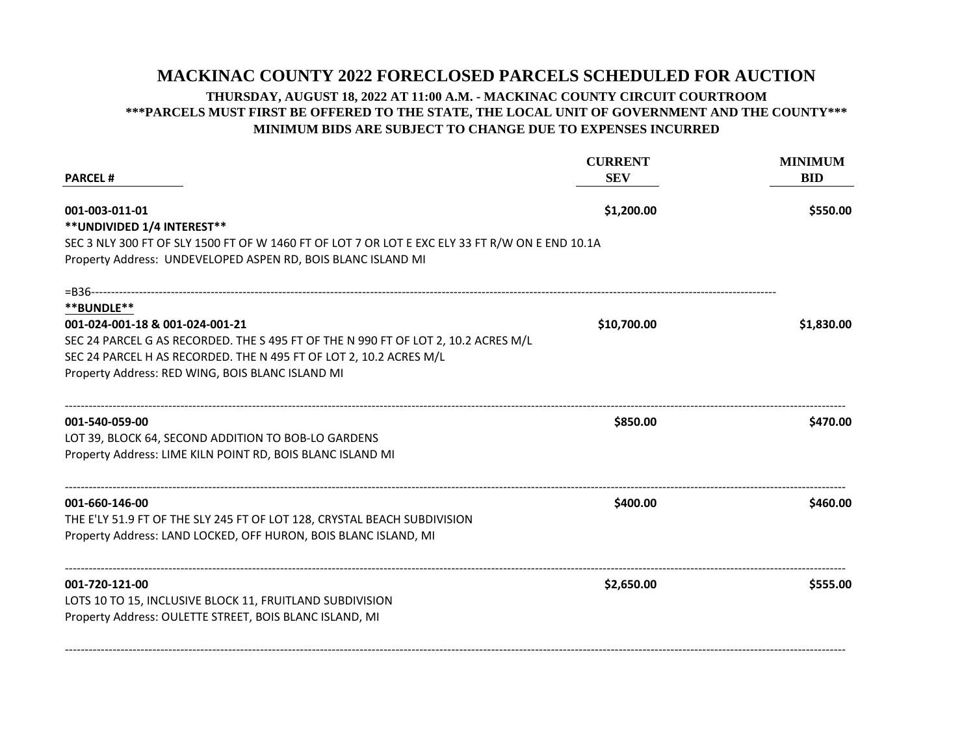## **MACKINAC COUNTY 2022 FORECLOSED PARCELS SCHEDULED FOR AUCTION**

## **THURSDAY, AUGUST 18, 2022 AT 11:00 A.M. - MACKINAC COUNTY CIRCUIT COURTROOM \*\*\*PARCELS MUST FIRST BE OFFERED TO THE STATE, THE LOCAL UNIT OF GOVERNMENT AND THE COUNTY\*\*\* MINIMUM BIDS ARE SUBJECT TO CHANGE DUE TO EXPENSES INCURRED**

| <b>CURRENT</b><br><b>SEV</b><br><b>PARCEL#</b><br>\$1,200.00<br>001-003-011-01<br>** UNDIVIDED 1/4 INTEREST**<br>SEC 3 NLY 300 FT OF SLY 1500 FT OF W 1460 FT OF LOT 7 OR LOT E EXC ELY 33 FT R/W ON E END 10.1A<br>Property Address: UNDEVELOPED ASPEN RD, BOIS BLANC ISLAND MI<br>=B36----------------------<br>**BUNDLE** |                                 | <b>MINIMUM</b><br><b>BID</b><br>\$550.00 |
|------------------------------------------------------------------------------------------------------------------------------------------------------------------------------------------------------------------------------------------------------------------------------------------------------------------------------|---------------------------------|------------------------------------------|
|                                                                                                                                                                                                                                                                                                                              |                                 |                                          |
|                                                                                                                                                                                                                                                                                                                              |                                 |                                          |
|                                                                                                                                                                                                                                                                                                                              |                                 |                                          |
|                                                                                                                                                                                                                                                                                                                              |                                 |                                          |
|                                                                                                                                                                                                                                                                                                                              | 001-024-001-18 & 001-024-001-21 |                                          |
| SEC 24 PARCEL G AS RECORDED. THE S 495 FT OF THE N 990 FT OF LOT 2, 10.2 ACRES M/L                                                                                                                                                                                                                                           |                                 |                                          |
| SEC 24 PARCEL H AS RECORDED. THE N 495 FT OF LOT 2, 10.2 ACRES M/L                                                                                                                                                                                                                                                           |                                 |                                          |
| Property Address: RED WING, BOIS BLANC ISLAND MI                                                                                                                                                                                                                                                                             |                                 |                                          |
| 001-540-059-00                                                                                                                                                                                                                                                                                                               | \$850.00                        | \$470.00                                 |
| LOT 39, BLOCK 64, SECOND ADDITION TO BOB-LO GARDENS                                                                                                                                                                                                                                                                          |                                 |                                          |
| Property Address: LIME KILN POINT RD, BOIS BLANC ISLAND MI                                                                                                                                                                                                                                                                   |                                 |                                          |
| 001-660-146-00                                                                                                                                                                                                                                                                                                               | \$400.00                        | \$460.00                                 |
| THE E'LY 51.9 FT OF THE SLY 245 FT OF LOT 128, CRYSTAL BEACH SUBDIVISION                                                                                                                                                                                                                                                     |                                 |                                          |
| Property Address: LAND LOCKED, OFF HURON, BOIS BLANC ISLAND, MI                                                                                                                                                                                                                                                              |                                 |                                          |
| 001-720-121-00                                                                                                                                                                                                                                                                                                               | \$2,650.00                      | \$555.00                                 |
| LOTS 10 TO 15, INCLUSIVE BLOCK 11, FRUITLAND SUBDIVISION                                                                                                                                                                                                                                                                     |                                 |                                          |
| Property Address: OULETTE STREET, BOIS BLANC ISLAND, MI                                                                                                                                                                                                                                                                      |                                 |                                          |
|                                                                                                                                                                                                                                                                                                                              |                                 |                                          |